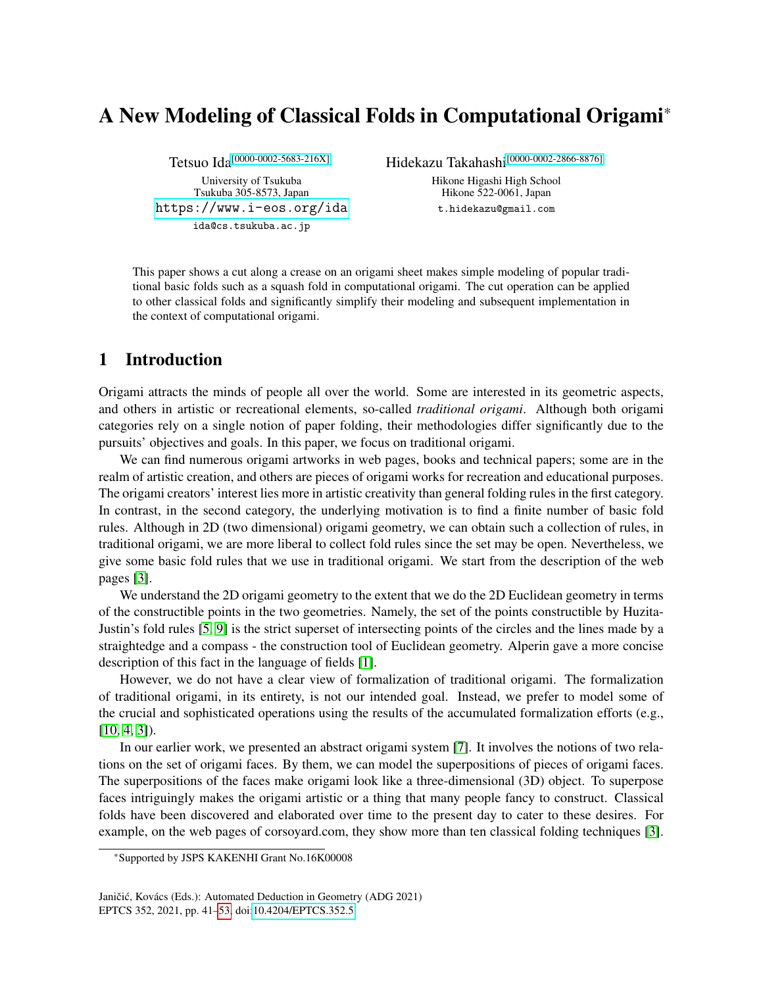# A New Modeling of Classical Folds in Computational Origami\*

Tetsuo Ida<sup>[\[0000-0002-5683-216X\]](https://orcid.org/0000-0002-5683-216X)</sup>

University of Tsukuba Tsukuba 305-8573, Japan <https://www.i-eos.org/ida> ida@cs.tsukuba.ac.jp

Hidekazu Takahashi[\[0000-0002-2866-8876\]](https://orcid.org/0000-0002-2866-8876)

Hikone Higashi High School Hikone 522-0061, Japan t.hidekazu@gmail.com

This paper shows a cut along a crease on an origami sheet makes simple modeling of popular traditional basic folds such as a squash fold in computational origami. The cut operation can be applied to other classical folds and significantly simplify their modeling and subsequent implementation in the context of computational origami.

# 1 Introduction

Origami attracts the minds of people all over the world. Some are interested in its geometric aspects, and others in artistic or recreational elements, so-called *traditional origami*. Although both origami categories rely on a single notion of paper folding, their methodologies differ significantly due to the pursuits' objectives and goals. In this paper, we focus on traditional origami.

We can find numerous origami artworks in web pages, books and technical papers; some are in the realm of artistic creation, and others are pieces of origami works for recreation and educational purposes. The origami creators' interest lies more in artistic creativity than general folding rules in the first category. In contrast, in the second category, the underlying motivation is to find a finite number of basic fold rules. Although in 2D (two dimensional) origami geometry, we can obtain such a collection of rules, in traditional origami, we are more liberal to collect fold rules since the set may be open. Nevertheless, we give some basic fold rules that we use in traditional origami. We start from the description of the web pages [\[3\]](#page-12-1).

We understand the 2D origami geometry to the extent that we do the 2D Euclidean geometry in terms of the constructible points in the two geometries. Namely, the set of the points constructible by Huzita-Justin's fold rules [\[5,](#page-12-2) [9\]](#page-12-3) is the strict superset of intersecting points of the circles and the lines made by a straightedge and a compass - the construction tool of Euclidean geometry. Alperin gave a more concise description of this fact in the language of fields [\[1\]](#page-12-4).

However, we do not have a clear view of formalization of traditional origami. The formalization of traditional origami, in its entirety, is not our intended goal. Instead, we prefer to model some of the crucial and sophisticated operations using the results of the accumulated formalization efforts (e.g.,  $[10, 4, 3]$  $[10, 4, 3]$  $[10, 4, 3]$ .

In our earlier work, we presented an abstract origami system [\[7\]](#page-12-7). It involves the notions of two relations on the set of origami faces. By them, we can model the superpositions of pieces of origami faces. The superpositions of the faces make origami look like a three-dimensional (3D) object. To superpose faces intriguingly makes the origami artistic or a thing that many people fancy to construct. Classical folds have been discovered and elaborated over time to the present day to cater to these desires. For example, on the web pages of corsoyard.com, they show more than ten classical folding techniques [\[3\]](#page-12-1).

<sup>\*</sup>Supported by JSPS KAKENHI Grant No.16K00008

Janičić, Kovács (Eds.): Automated Deduction in Geometry (ADG 2021) EPTCS 352, 2021, pp. 41[–53,](#page-12-0) doi[:10.4204/EPTCS.352.5](http://dx.doi.org/10.4204/EPTCS.352.5)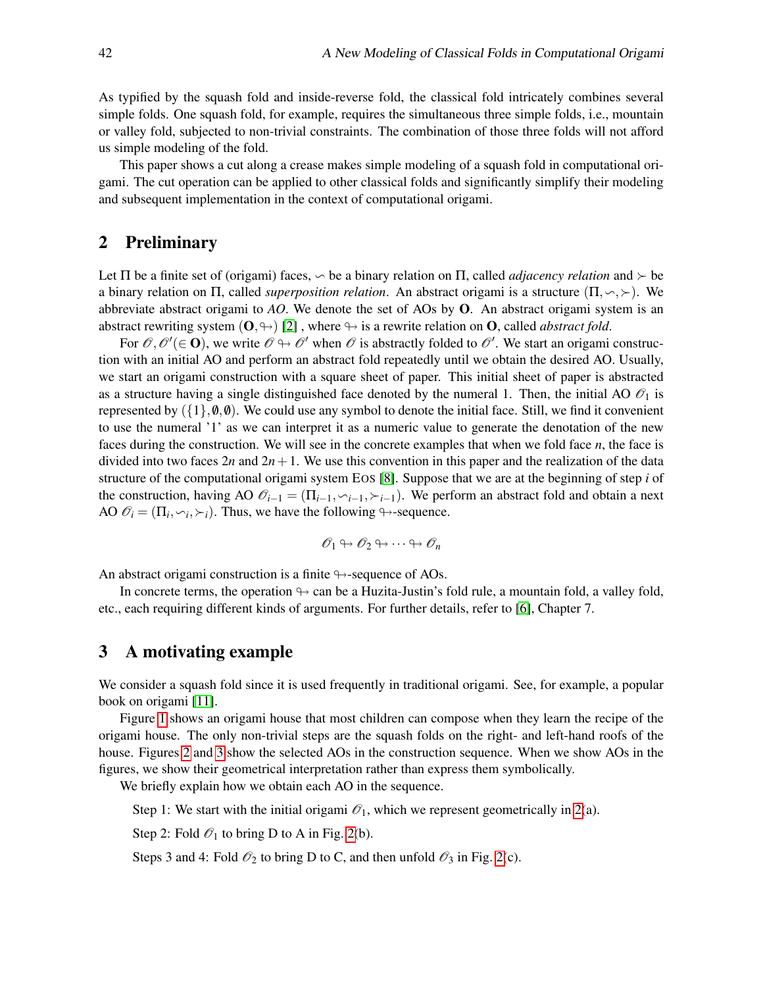As typified by the squash fold and inside-reverse fold, the classical fold intricately combines several simple folds. One squash fold, for example, requires the simultaneous three simple folds, i.e., mountain or valley fold, subjected to non-trivial constraints. The combination of those three folds will not afford us simple modeling of the fold.

This paper shows a cut along a crease makes simple modeling of a squash fold in computational origami. The cut operation can be applied to other classical folds and significantly simplify their modeling and subsequent implementation in the context of computational origami.

## 2 Preliminary

Let  $\Pi$  be a finite set of (origami) faces,  $\sim$  be a binary relation on  $\Pi$ , called *adjacency relation* and  $\succ$  be a binary relation on  $\Pi$ , called *superposition relation*. An abstract origami is a structure  $(\Pi, \neg, \neg)$ . We abbreviate abstract origami to *AO*. We denote the set of AOs by O. An abstract origami system is an abstract rewriting system  $(0, \rightarrow)$  [\[2\]](#page-12-8), where  $\rightarrow$  is a rewrite relation on O, called *abstract fold*.

For  $\mathscr{O}, \mathscr{O}'(\in \mathbf{O})$ , we write  $\mathscr{O} \mapsto \mathscr{O}'$  when  $\mathscr{O}$  is abstractly folded to  $\mathscr{O}'$ . We start an origami construction with an initial AO and perform an abstract fold repeatedly until we obtain the desired AO. Usually, we start an origami construction with a square sheet of paper. This initial sheet of paper is abstracted as a structure having a single distinguished face denoted by the numeral 1. Then, the initial AO  $\mathcal{O}_1$  is represented by  $({1}, 0, 0)$ . We could use any symbol to denote the initial face. Still, we find it convenient to use the numeral '1' as we can interpret it as a numeric value to generate the denotation of the new faces during the construction. We will see in the concrete examples that when we fold face *n*, the face is divided into two faces  $2n$  and  $2n+1$ . We use this convention in this paper and the realization of the data structure of the computational origami system EOS [\[8\]](#page-12-9). Suppose that we are at the beginning of step *i* of the construction, having AO  $\mathcal{O}_{i-1} = (\Pi_{i-1}, \vee_{i-1}, \succ_{i-1})$ . We perform an abstract fold and obtain a next AO  $\mathcal{O}_i = (\Pi_i, \sim_i, \succ_i)$ . Thus, we have the following  $\rightarrow$ -sequence.

$$
\mathscr{O}_1 \looparrowright \mathscr{O}_2 \looparrowright \cdots \looparrowright \mathscr{O}_n
$$

An abstract origami construction is a finite  $\rightarrow$ -sequence of AOs.

In concrete terms, the operation  $\rightarrow$  can be a Huzita-Justin's fold rule, a mountain fold, a valley fold, etc., each requiring different kinds of arguments. For further details, refer to [\[6\]](#page-12-10), Chapter 7.

## 3 A motivating example

We consider a squash fold since it is used frequently in traditional origami. See, for example, a popular book on origami [\[11\]](#page-12-11).

Figure [1](#page-2-0) shows an origami house that most children can compose when they learn the recipe of the origami house. The only non-trivial steps are the squash folds on the right- and left-hand roofs of the house. Figures [2](#page-3-0) and [3](#page-3-1) show the selected AOs in the construction sequence. When we show AOs in the figures, we show their geometrical interpretation rather than express them symbolically.

We briefly explain how we obtain each AO in the sequence.

Step 1: We start with the initial origami  $\mathcal{O}_1$ , which we represent geometrically in [2\(](#page-3-0)a).

Step 2: Fold  $\mathcal{O}_1$  to bring D to A in Fig. [2\(](#page-3-0)b).

Steps 3 and 4: Fold  $\mathcal{O}_2$  to bring D to C, and then unfold  $\mathcal{O}_3$  in Fig. [2\(](#page-3-0)c).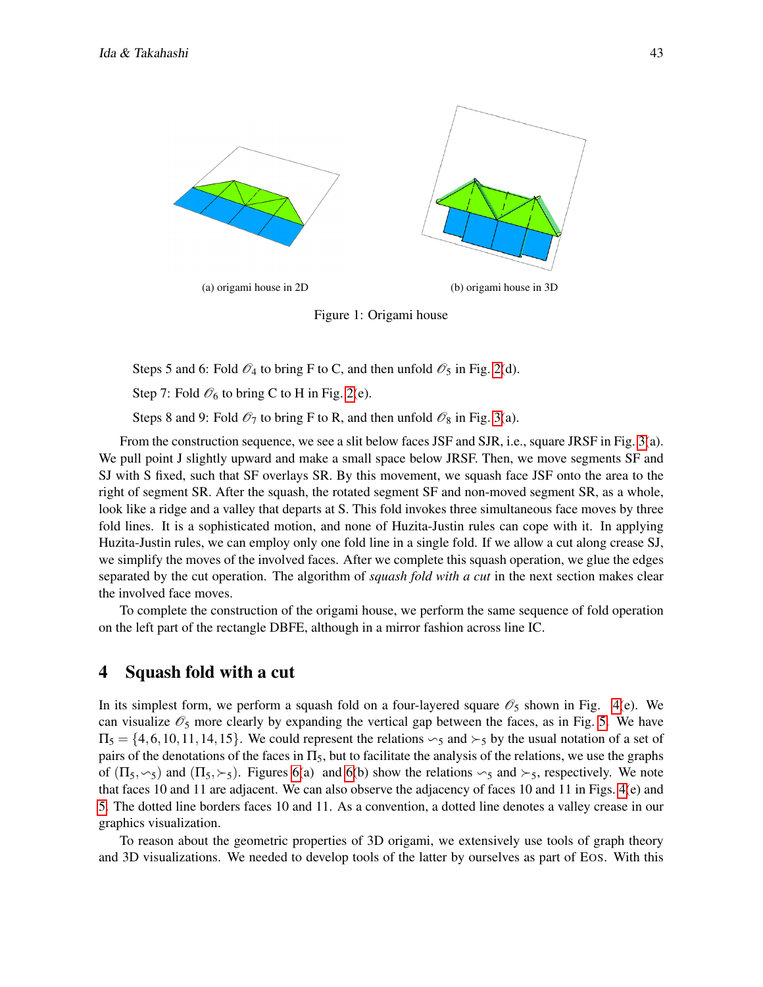<span id="page-2-0"></span>

Figure 1: Origami house

Steps 5 and 6: Fold  $\mathcal{O}_4$  to bring F to C, and then unfold  $\mathcal{O}_5$  in Fig. [2\(](#page-3-0)d).

Step 7: Fold  $\mathcal{O}_6$  to bring C to H in Fig. [2\(](#page-3-0)e).

Steps 8 and 9: Fold  $\mathcal{O}_7$  to bring F to R, and then unfold  $\mathcal{O}_8$  in Fig. [3\(](#page-3-1)a).

From the construction sequence, we see a slit below faces JSF and SJR, i.e., square JRSF in Fig. [3\(](#page-3-1)a). We pull point J slightly upward and make a small space below JRSF. Then, we move segments SF and SJ with S fixed, such that SF overlays SR. By this movement, we squash face JSF onto the area to the right of segment SR. After the squash, the rotated segment SF and non-moved segment SR, as a whole, look like a ridge and a valley that departs at S. This fold invokes three simultaneous face moves by three fold lines. It is a sophisticated motion, and none of Huzita-Justin rules can cope with it. In applying Huzita-Justin rules, we can employ only one fold line in a single fold. If we allow a cut along crease SJ, we simplify the moves of the involved faces. After we complete this squash operation, we glue the edges separated by the cut operation. The algorithm of *squash fold with a cut* in the next section makes clear the involved face moves.

To complete the construction of the origami house, we perform the same sequence of fold operation on the left part of the rectangle DBFE, although in a mirror fashion across line IC.

## 4 Squash fold with a cut

In its simplest form, we perform a squash fold on a four-layered square  $\mathcal{O}_5$  shown in Fig. [4\(](#page-4-0)e). We can visualize  $\mathcal{O}_5$  more clearly by expanding the vertical gap between the faces, as in Fig. [5.](#page-4-1) We have  $\Pi_5 = \{4,6,10,11,14,15\}$ . We could represent the relations  $\sim_5$  and  $\succ_5$  by the usual notation of a set of pairs of the denotations of the faces in  $\Pi_5$ , but to facilitate the analysis of the relations, we use the graphs of  $(\Pi_5,\sim_5)$  and  $(\Pi_5,\succ_5)$ . Figures [6\(](#page-5-0)a) and 6(b) show the relations  $\sim_5$  and  $\succ_5$ , respectively. We note that faces 10 and 11 are adjacent. We can also observe the adjacency of faces 10 and 11 in Figs. [4\(](#page-4-0)e) and [5.](#page-4-1) The dotted line borders faces 10 and 11. As a convention, a dotted line denotes a valley crease in our graphics visualization.

To reason about the geometric properties of 3D origami, we extensively use tools of graph theory and 3D visualizations. We needed to develop tools of the latter by ourselves as part of EOS. With this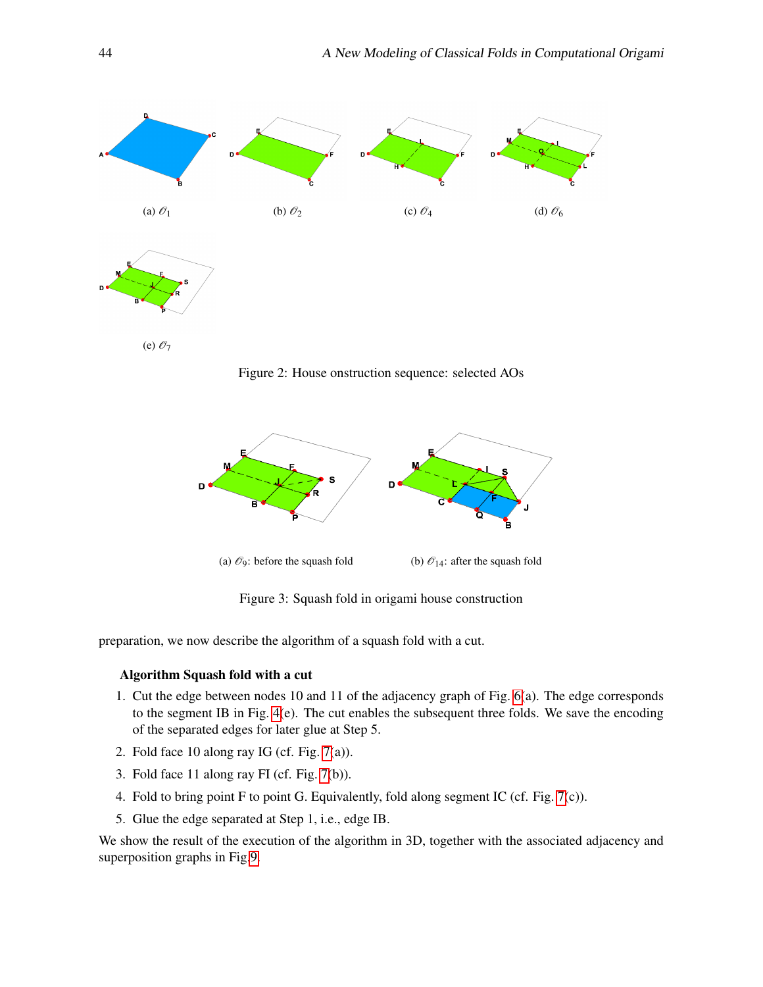<span id="page-3-0"></span>

Figure 2: House onstruction sequence: selected AOs

<span id="page-3-1"></span>

Figure 3: Squash fold in origami house construction

preparation, we now describe the algorithm of a squash fold with a cut.

#### Algorithm Squash fold with a cut

- 1. Cut the edge between nodes 10 and 11 of the adjacency graph of Fig. [6\(](#page-5-0)a). The edge corresponds to the segment IB in Fig. [4\(](#page-4-0)e). The cut enables the subsequent three folds. We save the encoding of the separated edges for later glue at Step 5.
- 2. Fold face 10 along ray IG (cf. Fig. [7\(](#page-6-0)a)).
- 3. Fold face 11 along ray FI (cf. Fig. [7\(](#page-6-0)b)).
- 4. Fold to bring point F to point G. Equivalently, fold along segment IC (cf. Fig. [7\(](#page-6-0)c)).
- 5. Glue the edge separated at Step 1, i.e., edge IB.

We show the result of the execution of the algorithm in 3D, together with the associated adjacency and superposition graphs in Fig[.9.](#page-7-0)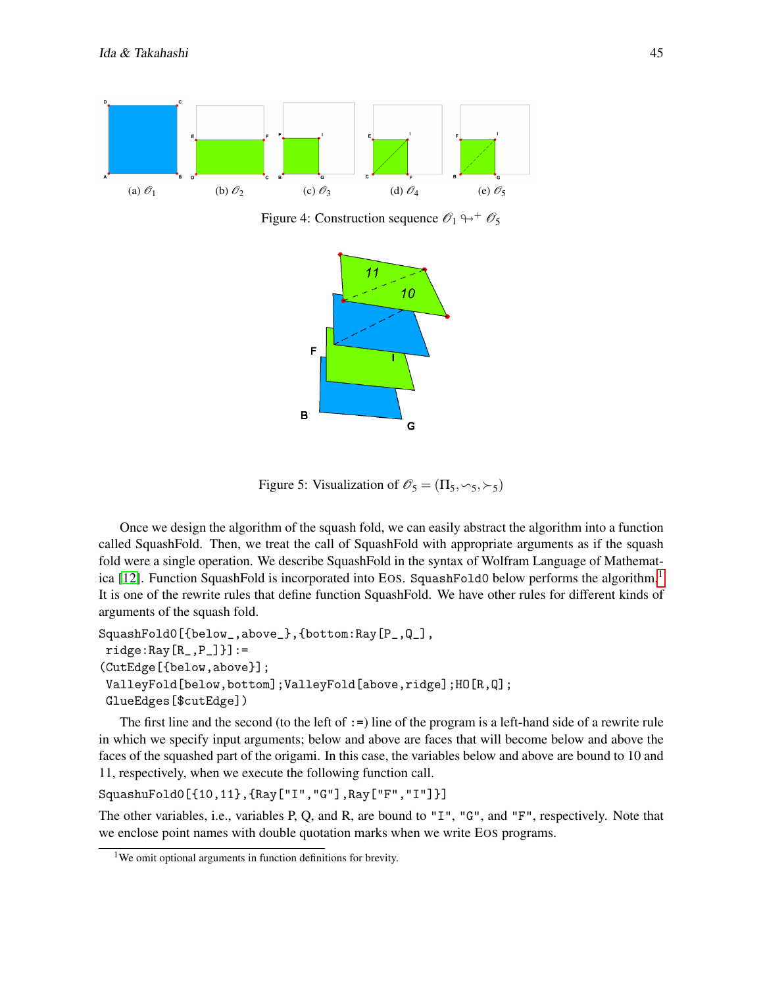<span id="page-4-1"></span><span id="page-4-0"></span>

Figure 4: Construction sequence  $\mathcal{O}_1 \rightarrow + \mathcal{O}_5$ 



Figure 5: Visualization of  $\mathcal{O}_5 = (\Pi_5, \sim_5, \succ_5)$ 

Once we design the algorithm of the squash fold, we can easily abstract the algorithm into a function called SquashFold. Then, we treat the call of SquashFold with appropriate arguments as if the squash fold were a single operation. We describe SquashFold in the syntax of Wolfram Language of Mathemat-ica [\[12\]](#page-12-12). Function SquashFold is incorporated into EOS. SquashFold0 below performs the algorithm.<sup>[1](#page-4-2)</sup> It is one of the rewrite rules that define function SquashFold. We have other rules for different kinds of arguments of the squash fold.

```
SquashFold0[{below_,above_},{bottom:Ray[P_,Q_],
ridge:Ray[R_ ,P_ ]] :=
(CutEdge[{below,above}];
ValleyFold[below,bottom];ValleyFold[above,ridge];HO[R,Q];
GlueEdges[$cutEdge])
```
The first line and the second (to the left of  $:=$ ) line of the program is a left-hand side of a rewrite rule in which we specify input arguments; below and above are faces that will become below and above the faces of the squashed part of the origami. In this case, the variables below and above are bound to 10 and 11, respectively, when we execute the following function call.

```
SquashuFold0[{10,11},{Ray["I","G"],Ray["F","I"]}]
```
The other variables, i.e., variables P, Q, and R, are bound to "I", "G", and "F", respectively. Note that we enclose point names with double quotation marks when we write EOS programs.

<span id="page-4-2"></span><sup>&</sup>lt;sup>1</sup>We omit optional arguments in function definitions for brevity.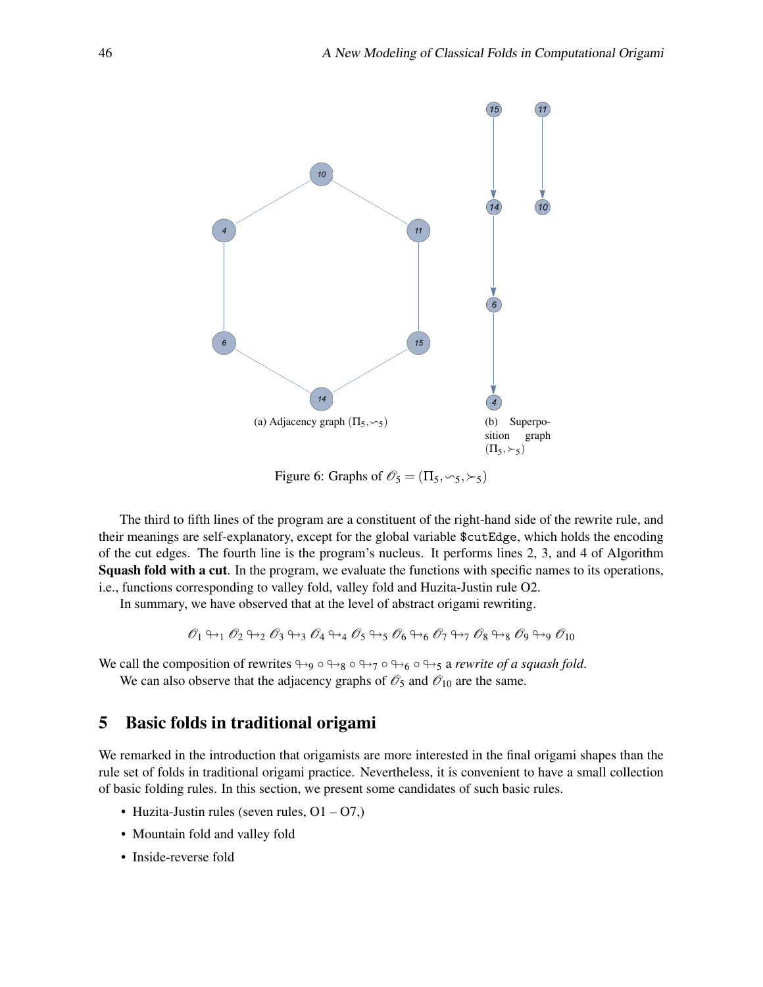<span id="page-5-0"></span>

Figure 6: Graphs of  $\mathcal{O}_5 = (\Pi_5, \sim_5, \succ_5)$ 

The third to fifth lines of the program are a constituent of the right-hand side of the rewrite rule, and their meanings are self-explanatory, except for the global variable \$cutEdge, which holds the encoding of the cut edges. The fourth line is the program's nucleus. It performs lines 2, 3, and 4 of Algorithm Squash fold with a cut. In the program, we evaluate the functions with specific names to its operations, i.e., functions corresponding to valley fold, valley fold and Huzita-Justin rule O2.

In summary, we have observed that at the level of abstract origami rewriting.

$$
\mathscr{O}_1 \looparrowright_1 \mathscr{O}_2 \looparrowright_2 \mathscr{O}_3 \looparrowright_3 \mathscr{O}_4 \looparrowright_4 \mathscr{O}_5 \looparrowright_5 \mathscr{O}_6 \looparrowright_6 \mathscr{O}_7 \looparrowright_7 \mathscr{O}_8 \looparrowright_8 \mathscr{O}_9 \looparrowright_9 \mathscr{O}_{10}
$$

We call the composition of rewrites  $\leftrightarrow_9 \circ \leftrightarrow_8 \circ \leftrightarrow_7 \circ \leftrightarrow_6 \circ \leftrightarrow_5$  a *rewrite of a squash fold*. We can also observe that the adjacency graphs of  $\mathcal{O}_5$  and  $\mathcal{O}_{10}$  are the same.

# 5 Basic folds in traditional origami

We remarked in the introduction that origamists are more interested in the final origami shapes than the rule set of folds in traditional origami practice. Nevertheless, it is convenient to have a small collection of basic folding rules. In this section, we present some candidates of such basic rules.

- Huzita-Justin rules (seven rules,  $Q1 Q7$ .)
- Mountain fold and valley fold
- Inside-reverse fold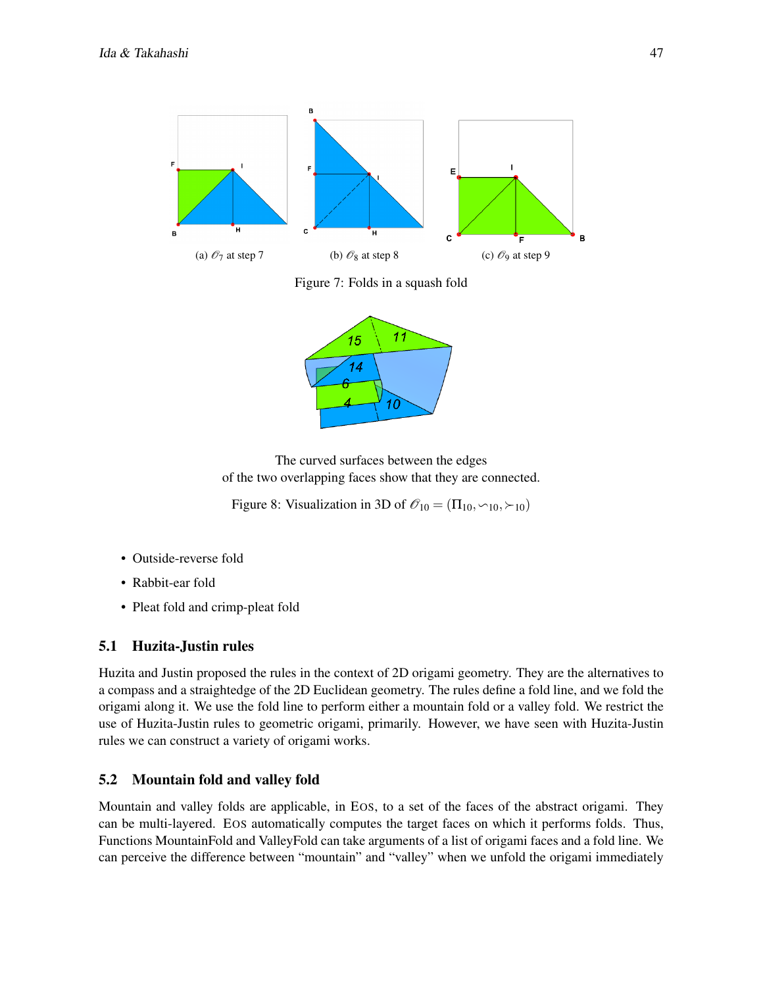<span id="page-6-0"></span>

Figure 7: Folds in a squash fold



The curved surfaces between the edges of the two overlapping faces show that they are connected.

Figure 8: Visualization in 3D of  $\mathcal{O}_{10} = (\Pi_{10}, \sim_{10}, \succ_{10})$ 

- Outside-reverse fold
- Rabbit-ear fold
- Pleat fold and crimp-pleat fold

## 5.1 Huzita-Justin rules

Huzita and Justin proposed the rules in the context of 2D origami geometry. They are the alternatives to a compass and a straightedge of the 2D Euclidean geometry. The rules define a fold line, and we fold the origami along it. We use the fold line to perform either a mountain fold or a valley fold. We restrict the use of Huzita-Justin rules to geometric origami, primarily. However, we have seen with Huzita-Justin rules we can construct a variety of origami works.

## 5.2 Mountain fold and valley fold

Mountain and valley folds are applicable, in EOS, to a set of the faces of the abstract origami. They can be multi-layered. EOS automatically computes the target faces on which it performs folds. Thus, Functions MountainFold and ValleyFold can take arguments of a list of origami faces and a fold line. We can perceive the difference between "mountain" and "valley" when we unfold the origami immediately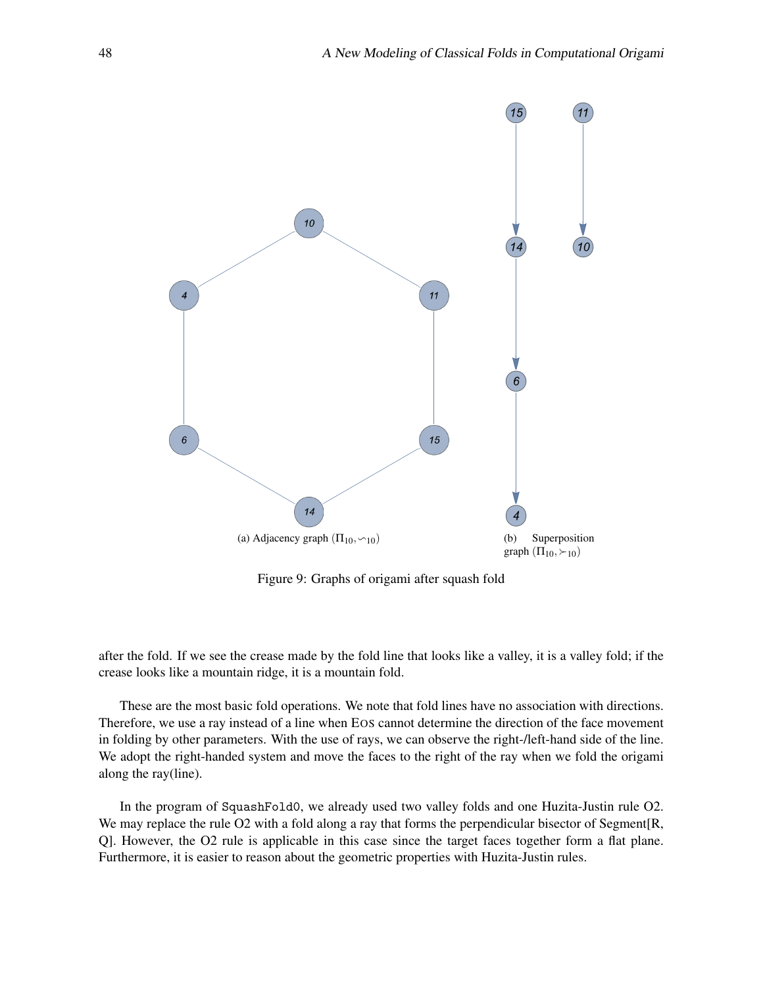<span id="page-7-0"></span>

Figure 9: Graphs of origami after squash fold

after the fold. If we see the crease made by the fold line that looks like a valley, it is a valley fold; if the crease looks like a mountain ridge, it is a mountain fold.

These are the most basic fold operations. We note that fold lines have no association with directions. Therefore, we use a ray instead of a line when EOS cannot determine the direction of the face movement in folding by other parameters. With the use of rays, we can observe the right-/left-hand side of the line. We adopt the right-handed system and move the faces to the right of the ray when we fold the origami along the ray(line).

In the program of SquashFold0, we already used two valley folds and one Huzita-Justin rule O2. We may replace the rule O2 with a fold along a ray that forms the perpendicular bisector of Segment[R, Q]. However, the O2 rule is applicable in this case since the target faces together form a flat plane. Furthermore, it is easier to reason about the geometric properties with Huzita-Justin rules.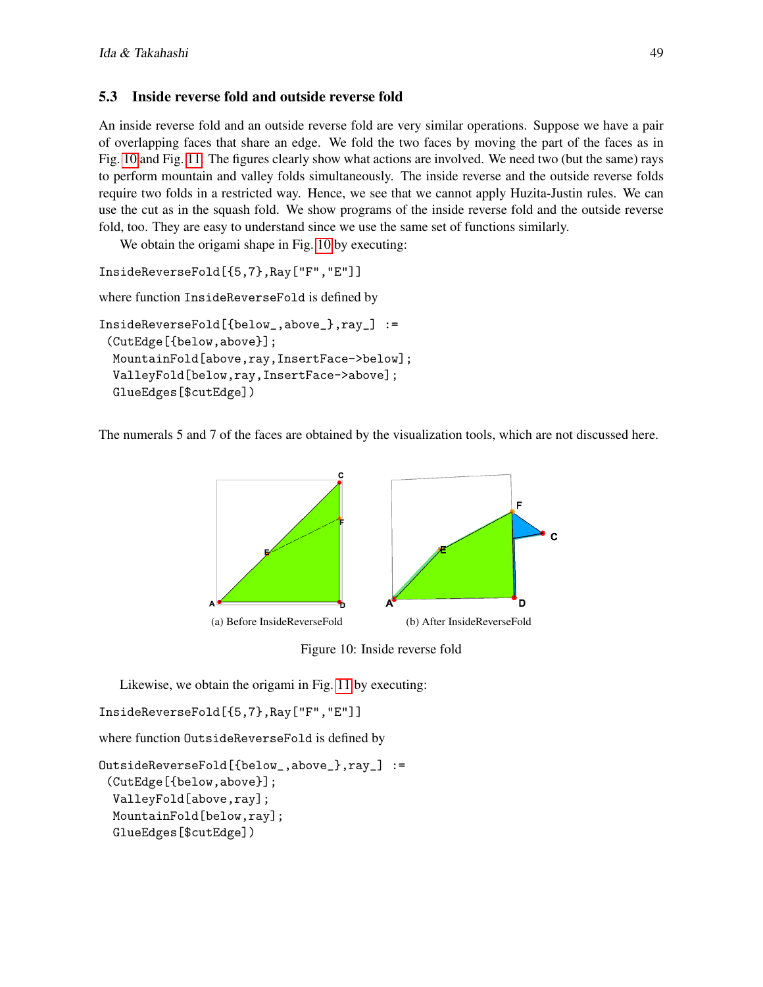## 5.3 Inside reverse fold and outside reverse fold

An inside reverse fold and an outside reverse fold are very similar operations. Suppose we have a pair of overlapping faces that share an edge. We fold the two faces by moving the part of the faces as in Fig. [10](#page-8-0) and Fig. [11.](#page-9-0) The figures clearly show what actions are involved. We need two (but the same) rays to perform mountain and valley folds simultaneously. The inside reverse and the outside reverse folds require two folds in a restricted way. Hence, we see that we cannot apply Huzita-Justin rules. We can use the cut as in the squash fold. We show programs of the inside reverse fold and the outside reverse fold, too. They are easy to understand since we use the same set of functions similarly.

We obtain the origami shape in Fig. [10](#page-8-0) by executing:

```
InsideReverseFold[{5,7},Ray["F","E"]]
```
where function InsideReverseFold is defined by

```
InsideReverseFold[{below_,above_},ray_] :=
 (CutEdge[{below,above}];
 MountainFold[above,ray,InsertFace->below];
  ValleyFold[below,ray,InsertFace->above];
  GlueEdges[$cutEdge])
```
<span id="page-8-0"></span>The numerals 5 and 7 of the faces are obtained by the visualization tools, which are not discussed here.



Figure 10: Inside reverse fold

Likewise, we obtain the origami in Fig. [11](#page-9-0) by executing:

```
InsideReverseFold[{5,7},Ray["F","E"]]
```
where function OutsideReverseFold is defined by

```
OutsideReverseFold[{below_,above_},ray_] :=
 (CutEdge[{below,above}];
  ValleyFold[above,ray];
 MountainFold[below,ray];
 GlueEdges[$cutEdge])
```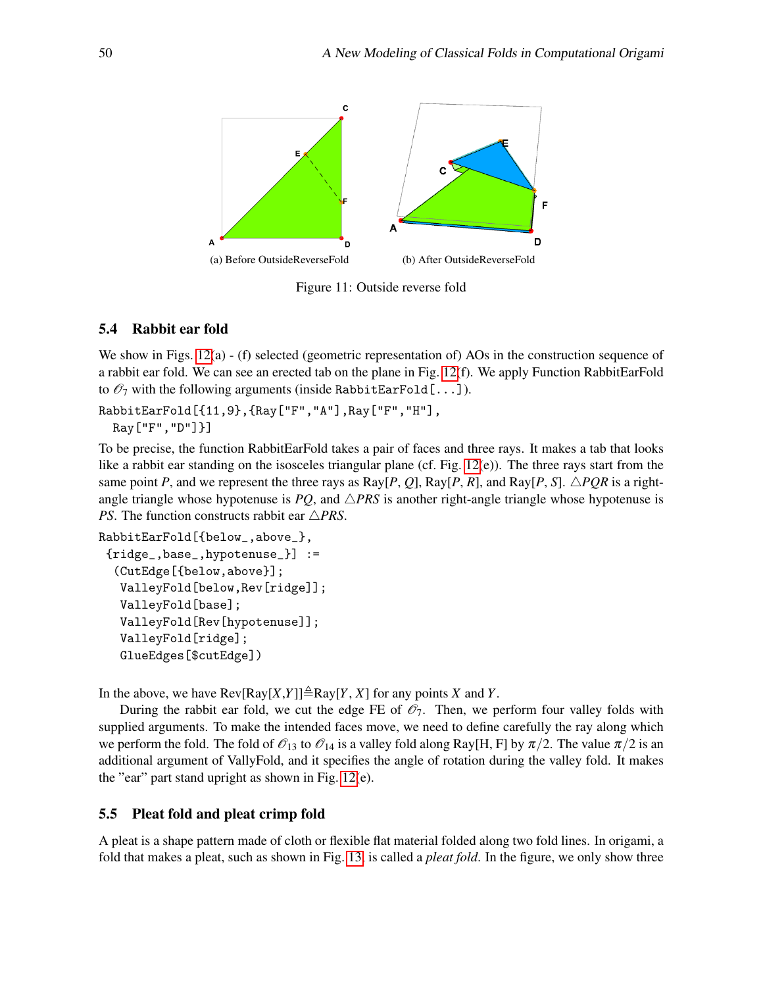<span id="page-9-0"></span>

Figure 11: Outside reverse fold

#### 5.4 Rabbit ear fold

We show in Figs. [12\(](#page-10-0)a) - (f) selected (geometric representation of) AOs in the construction sequence of a rabbit ear fold. We can see an erected tab on the plane in Fig. [12\(](#page-10-0)f). We apply Function RabbitEarFold to  $\mathcal{O}_7$  with the following arguments (inside RabbitEarFold[...]).

#### RabbitEarFold[{11,9},{Ray["F","A"],Ray["F","H"], Ray["F","D"]}]

To be precise, the function RabbitEarFold takes a pair of faces and three rays. It makes a tab that looks like a rabbit ear standing on the isosceles triangular plane (cf. Fig. [12\(](#page-10-0)e)). The three rays start from the same point *P*, and we represent the three rays as Ray[*P*, *Q*], Ray[*P*, *R*], and Ray[*P*, *S*].  $\triangle PQR$  is a rightangle triangle whose hypotenuse is  $PQ$ , and  $\triangle PRS$  is another right-angle triangle whose hypotenuse is *PS*. The function constructs rabbit ear  $\triangle PRS$ .

```
RabbitEarFold[{below_,above_},
 {ridge_,base_,hypotenuse_}] :=
  (CutEdge[{below,above}];
  ValleyFold[below,Rev[ridge]];
   ValleyFold[base];
   ValleyFold[Rev[hypotenuse]];
   ValleyFold[ridge];
   GlueEdges[$cutEdge])
```
In the above, we have  $\text{Rev}[Ray[X, Y]] \triangleq \text{Ray}[Y, X]$  for any points *X* and *Y*.

During the rabbit ear fold, we cut the edge FE of  $\mathcal{O}_7$ . Then, we perform four valley folds with supplied arguments. To make the intended faces move, we need to define carefully the ray along which we perform the fold. The fold of  $\mathcal{O}_{13}$  to  $\mathcal{O}_{14}$  is a valley fold along Ray[H, F] by  $\pi/2$ . The value  $\pi/2$  is an additional argument of VallyFold, and it specifies the angle of rotation during the valley fold. It makes the "ear" part stand upright as shown in Fig. [12\(](#page-10-0)e).

#### 5.5 Pleat fold and pleat crimp fold

A pleat is a shape pattern made of cloth or flexible flat material folded along two fold lines. In origami, a fold that makes a pleat, such as shown in Fig. [13,](#page-10-1) is called a *pleat fold*. In the figure, we only show three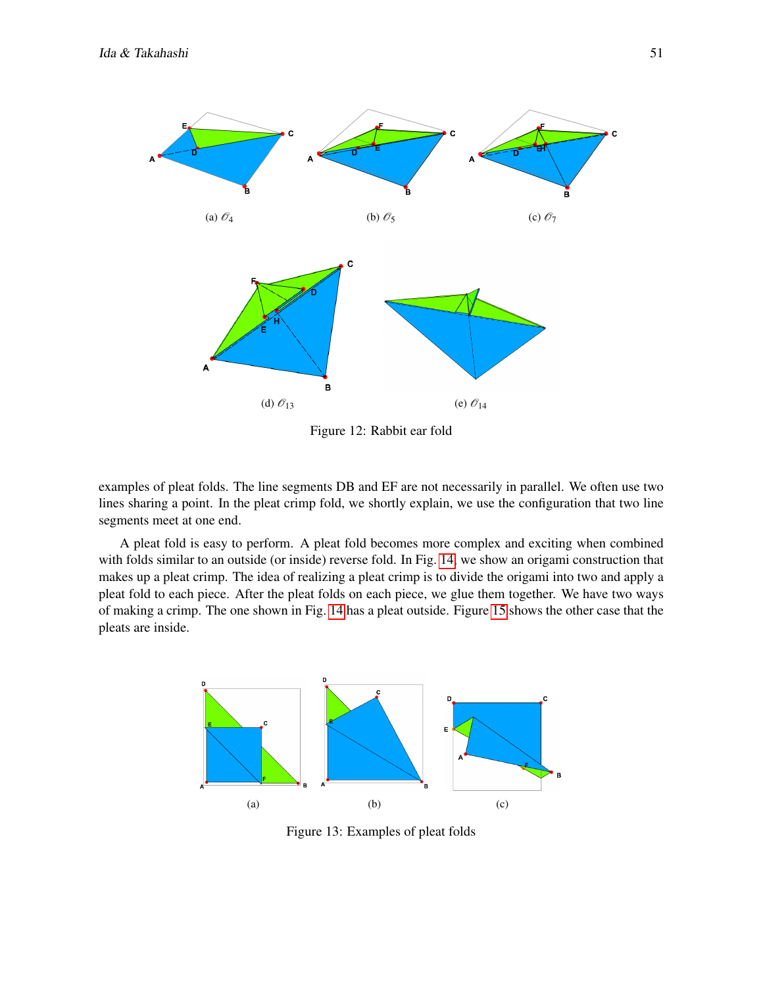<span id="page-10-0"></span>

Figure 12: Rabbit ear fold

examples of pleat folds. The line segments DB and EF are not necessarily in parallel. We often use two lines sharing a point. In the pleat crimp fold, we shortly explain, we use the configuration that two line segments meet at one end.

A pleat fold is easy to perform. A pleat fold becomes more complex and exciting when combined with folds similar to an outside (or inside) reverse fold. In Fig. [14,](#page-11-0) we show an origami construction that makes up a pleat crimp. The idea of realizing a pleat crimp is to divide the origami into two and apply a pleat fold to each piece. After the pleat folds on each piece, we glue them together. We have two ways of making a crimp. The one shown in Fig. [14](#page-11-0) has a pleat outside. Figure [15](#page-11-1) shows the other case that the pleats are inside.

<span id="page-10-1"></span>

Figure 13: Examples of pleat folds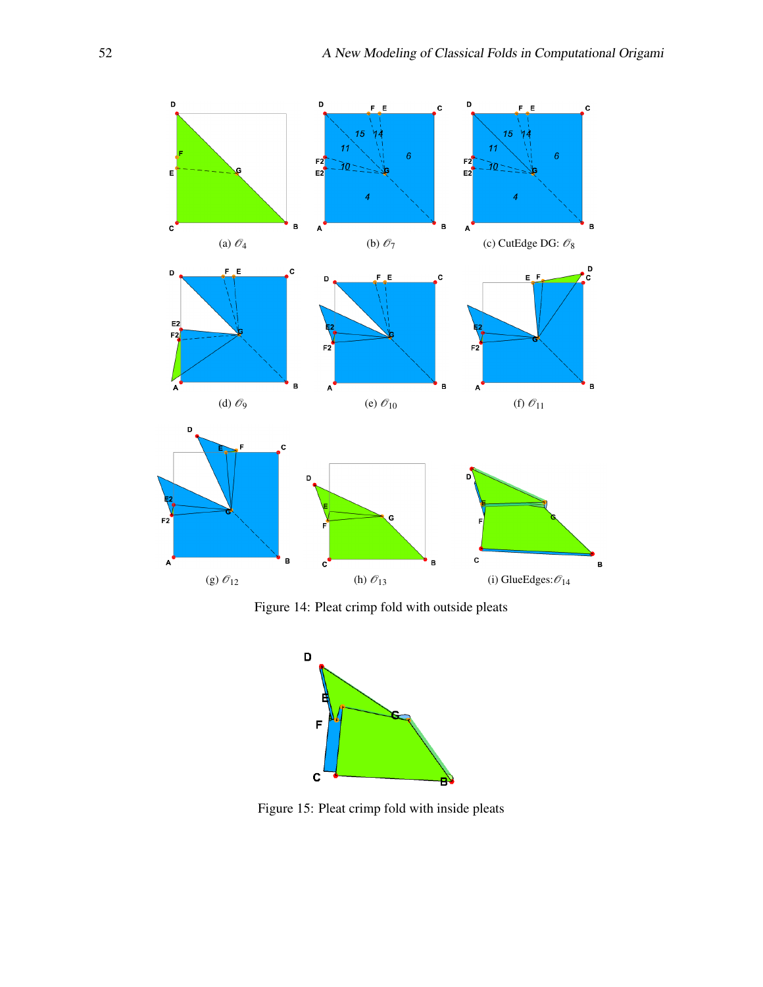<span id="page-11-0"></span>

<span id="page-11-1"></span>Figure 14: Pleat crimp fold with outside pleats



Figure 15: Pleat crimp fold with inside pleats